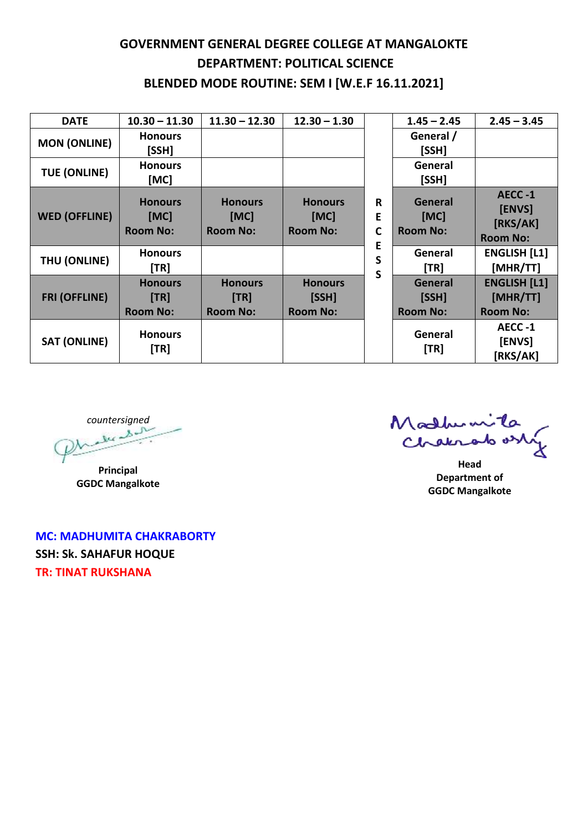## **GOVERNMENT GENERAL DEGREE COLLEGE AT MANGALOKTE DEPARTMENT: POLITICAL SCIENCE BLENDED MODE ROUTINE: SEM I [W.E.F 16.11.2021]**

| <b>DATE</b>          | $10.30 - 11.30$                           | $11.30 - 12.30$                           | $12.30 - 1.30$                             | R<br>E<br>C<br>E<br>S<br>S | $1.45 - 2.45$                                 | $2.45 - 3.45$                                      |
|----------------------|-------------------------------------------|-------------------------------------------|--------------------------------------------|----------------------------|-----------------------------------------------|----------------------------------------------------|
| <b>MON (ONLINE)</b>  | <b>Honours</b><br>[SSH]                   |                                           |                                            |                            | General /<br>[SSH]                            |                                                    |
| <b>TUE (ONLINE)</b>  | <b>Honours</b><br>[MC]                    |                                           |                                            |                            | General<br>[SSH]                              |                                                    |
| <b>WED (OFFLINE)</b> | <b>Honours</b><br>[MC]<br><b>Room No:</b> | <b>Honours</b><br>[MC]<br><b>Room No:</b> | <b>Honours</b><br>[MC]<br><b>Room No:</b>  |                            | General<br>[MC]<br><b>Room No:</b>            | AECC-1<br>[ENVS]<br>[RKS/AK]<br><b>Room No:</b>    |
| THU (ONLINE)         | <b>Honours</b><br>[TR]                    |                                           |                                            |                            | General<br>$\begin{bmatrix} TR \end{bmatrix}$ | <b>ENGLISH [L1]</b><br>[MHR/TT]                    |
| <b>FRI (OFFLINE)</b> | <b>Honours</b><br>[TR]<br><b>Room No:</b> | <b>Honours</b><br>[TR]<br><b>Room No:</b> | <b>Honours</b><br>[SSH]<br><b>Room No:</b> |                            | General<br>[SSH]<br><b>Room No:</b>           | <b>ENGLISH [L1]</b><br>[MHR/TT]<br><b>Room No:</b> |
| <b>SAT (ONLINE)</b>  | <b>Honours</b><br>[TR]                    |                                           |                                            |                            | General<br>[TR]                               | AECC-1<br>[ENVS]<br>[RKS/AK]                       |

*countersigned*

**Principal GGDC Mangalkote**

**MC: MADHUMITA CHAKRABORTY SSH: Sk. SAHAFUR HOQUE TR: TINAT RUKSHANA**

Madhumita

**Head Department of GGDC Mangalkote**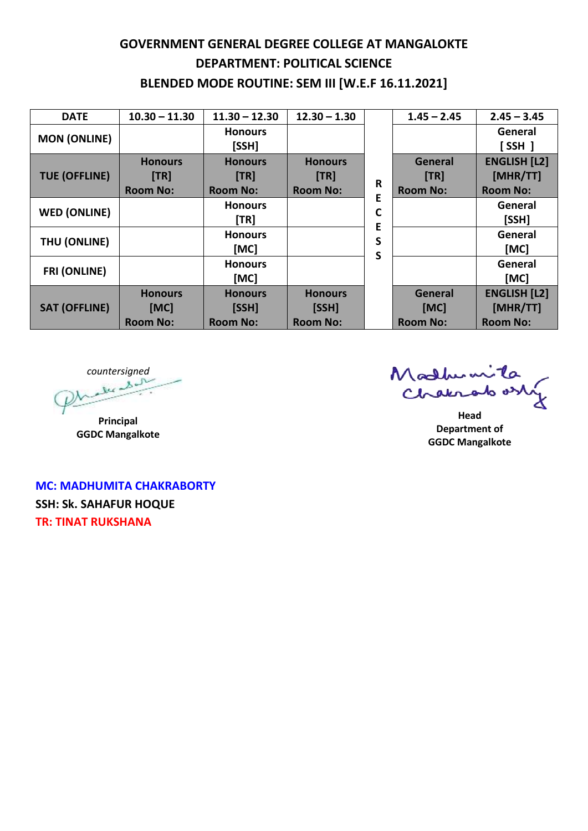## **GOVERNMENT GENERAL DEGREE COLLEGE AT MANGALOKTE DEPARTMENT: POLITICAL SCIENCE BLENDED MODE ROUTINE: SEM III [W.E.F 16.11.2021]**

| <b>DATE</b>          | $10.30 - 11.30$        | $11.30 - 12.30$         | $12.30 - 1.30$         |                                       | $1.45 - 2.45$   | $2.45 - 3.45$                   |
|----------------------|------------------------|-------------------------|------------------------|---------------------------------------|-----------------|---------------------------------|
| <b>MON (ONLINE)</b>  |                        | <b>Honours</b><br>[SSH] |                        | R<br>E<br>$\mathsf{C}$<br>Е<br>S<br>S |                 | General<br>$[$ SSH $]$          |
| <b>TUE (OFFLINE)</b> | <b>Honours</b><br>[TR] | <b>Honours</b><br>[TR]  | <b>Honours</b><br>[TR] |                                       | General<br>[TR] | <b>ENGLISH [L2]</b><br>[MHR/TT] |
|                      | <b>Room No:</b>        | <b>Room No:</b>         | <b>Room No:</b>        |                                       | <b>Room No:</b> | <b>Room No:</b>                 |
| <b>WED (ONLINE)</b>  |                        | <b>Honours</b><br>[TR]  |                        |                                       |                 | General<br>[SSH]                |
| THU (ONLINE)         |                        | <b>Honours</b><br>[MC]  |                        |                                       |                 | General<br>[MC]                 |
| <b>FRI (ONLINE)</b>  |                        | <b>Honours</b><br>[MC]  |                        |                                       |                 | General<br>[MC]                 |
| <b>SAT (OFFLINE)</b> | <b>Honours</b>         | <b>Honours</b>          | <b>Honours</b>         |                                       | General         | <b>ENGLISH [L2]</b>             |
|                      | [MC]                   | [SSH]                   | [SSH]                  |                                       | [MC]            | [MHR/TT]                        |
|                      | <b>Room No:</b>        | <b>Room No:</b>         | <b>Room No:</b>        |                                       | <b>Room No:</b> | <b>Room No:</b>                 |

*countersigned*

**Principal GGDC Mangalkote**

Malhumita

**Head Department of GGDC Mangalkote**

**MC: MADHUMITA CHAKRABORTY SSH: Sk. SAHAFUR HOQUE TR: TINAT RUKSHANA**